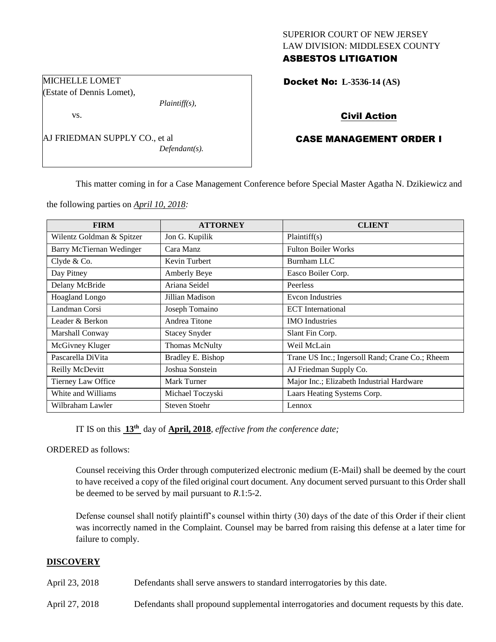## SUPERIOR COURT OF NEW JERSEY LAW DIVISION: MIDDLESEX COUNTY ASBESTOS LITIGATION

Docket No: **L-3536-14 (AS)** 

# Civil Action

# CASE MANAGEMENT ORDER I

This matter coming in for a Case Management Conference before Special Master Agatha N. Dzikiewicz and

the following parties on *April 10, 2018:*

AJ FRIEDMAN SUPPLY CO., et al

*Plaintiff(s),*

*Defendant(s).*

| <b>FIRM</b>               | <b>ATTORNEY</b>       | <b>CLIENT</b>                                   |
|---------------------------|-----------------------|-------------------------------------------------|
| Wilentz Goldman & Spitzer | Jon G. Kupilik        | Plaintiff(s)                                    |
| Barry McTiernan Wedinger  | Cara Manz             | <b>Fulton Boiler Works</b>                      |
| Clyde $& Co.$             | Kevin Turbert         | <b>Burnham LLC</b>                              |
| Day Pitney                | Amberly Beye          | Easco Boiler Corp.                              |
| Delany McBride            | Ariana Seidel         | Peerless                                        |
| Hoagland Longo            | Jillian Madison       | Evcon Industries                                |
| Landman Corsi             | Joseph Tomaino        | <b>ECT</b> International                        |
| Leader & Berkon           | Andrea Titone         | <b>IMO</b> Industries                           |
| Marshall Conway           | <b>Stacey Snyder</b>  | Slant Fin Corp.                                 |
| McGivney Kluger           | <b>Thomas McNulty</b> | Weil McLain                                     |
| Pascarella DiVita         | Bradley E. Bishop     | Trane US Inc.; Ingersoll Rand; Crane Co.; Rheem |
| Reilly McDevitt           | Joshua Sonstein       | AJ Friedman Supply Co.                          |
| Tierney Law Office        | Mark Turner           | Major Inc.; Elizabeth Industrial Hardware       |
| White and Williams        | Michael Toczyski      | Laars Heating Systems Corp.                     |
| Wilbraham Lawler          | Steven Stoehr         | Lennox                                          |

IT IS on this **13th** day of **April, 2018**, *effective from the conference date;*

ORDERED as follows:

Counsel receiving this Order through computerized electronic medium (E-Mail) shall be deemed by the court to have received a copy of the filed original court document. Any document served pursuant to this Order shall be deemed to be served by mail pursuant to *R*.1:5-2.

Defense counsel shall notify plaintiff's counsel within thirty (30) days of the date of this Order if their client was incorrectly named in the Complaint. Counsel may be barred from raising this defense at a later time for failure to comply.

### **DISCOVERY**

April 23, 2018 Defendants shall serve answers to standard interrogatories by this date.

April 27, 2018 Defendants shall propound supplemental interrogatories and document requests by this date.

MICHELLE LOMET (Estate of Dennis Lomet),

vs.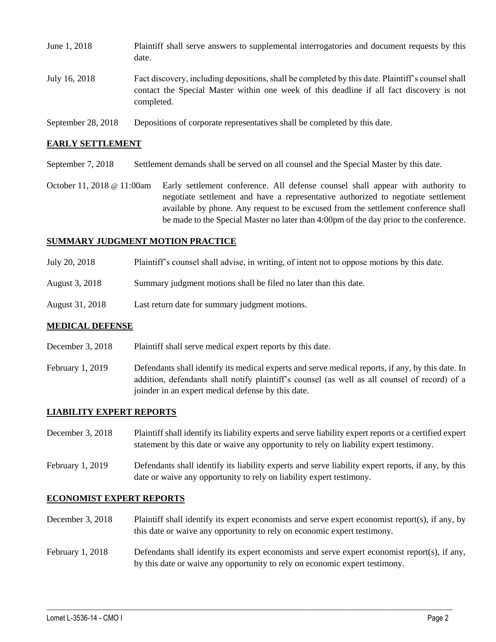| June 1, 2018       | Plaintiff shall serve answers to supplemental interrogatories and document requests by this<br>date.                                                                                                        |
|--------------------|-------------------------------------------------------------------------------------------------------------------------------------------------------------------------------------------------------------|
| July 16, 2018      | Fact discovery, including depositions, shall be completed by this date. Plaintiff's counsel shall<br>contact the Special Master within one week of this deadline if all fact discovery is not<br>completed. |
| September 28, 2018 | Depositions of corporate representatives shall be completed by this date.                                                                                                                                   |

#### **EARLY SETTLEMENT**

September 7, 2018 Settlement demands shall be served on all counsel and the Special Master by this date.

October 11, 2018 @ 11:00am Early settlement conference. All defense counsel shall appear with authority to negotiate settlement and have a representative authorized to negotiate settlement available by phone. Any request to be excused from the settlement conference shall be made to the Special Master no later than 4:00pm of the day prior to the conference.

#### **SUMMARY JUDGMENT MOTION PRACTICE**

- July 20, 2018 Plaintiff's counsel shall advise, in writing, of intent not to oppose motions by this date.
- August 3, 2018 Summary judgment motions shall be filed no later than this date.
- August 31, 2018 Last return date for summary judgment motions.

#### **MEDICAL DEFENSE**

- December 3, 2018 Plaintiff shall serve medical expert reports by this date.
- February 1, 2019 Defendants shall identify its medical experts and serve medical reports, if any, by this date. In addition, defendants shall notify plaintiff's counsel (as well as all counsel of record) of a joinder in an expert medical defense by this date.

### **LIABILITY EXPERT REPORTS**

December 3, 2018 Plaintiff shall identify its liability experts and serve liability expert reports or a certified expert statement by this date or waive any opportunity to rely on liability expert testimony.

February 1, 2019 Defendants shall identify its liability experts and serve liability expert reports, if any, by this date or waive any opportunity to rely on liability expert testimony.

#### **ECONOMIST EXPERT REPORTS**

December 3, 2018 Plaintiff shall identify its expert economists and serve expert economist report(s), if any, by this date or waive any opportunity to rely on economic expert testimony.

## February 1, 2018 Defendants shall identify its expert economists and serve expert economist report(s), if any, by this date or waive any opportunity to rely on economic expert testimony.

 $\_$  ,  $\_$  ,  $\_$  ,  $\_$  ,  $\_$  ,  $\_$  ,  $\_$  ,  $\_$  ,  $\_$  ,  $\_$  ,  $\_$  ,  $\_$  ,  $\_$  ,  $\_$  ,  $\_$  ,  $\_$  ,  $\_$  ,  $\_$  ,  $\_$  ,  $\_$  ,  $\_$  ,  $\_$  ,  $\_$  ,  $\_$  ,  $\_$  ,  $\_$  ,  $\_$  ,  $\_$  ,  $\_$  ,  $\_$  ,  $\_$  ,  $\_$  ,  $\_$  ,  $\_$  ,  $\_$  ,  $\_$  ,  $\_$  ,